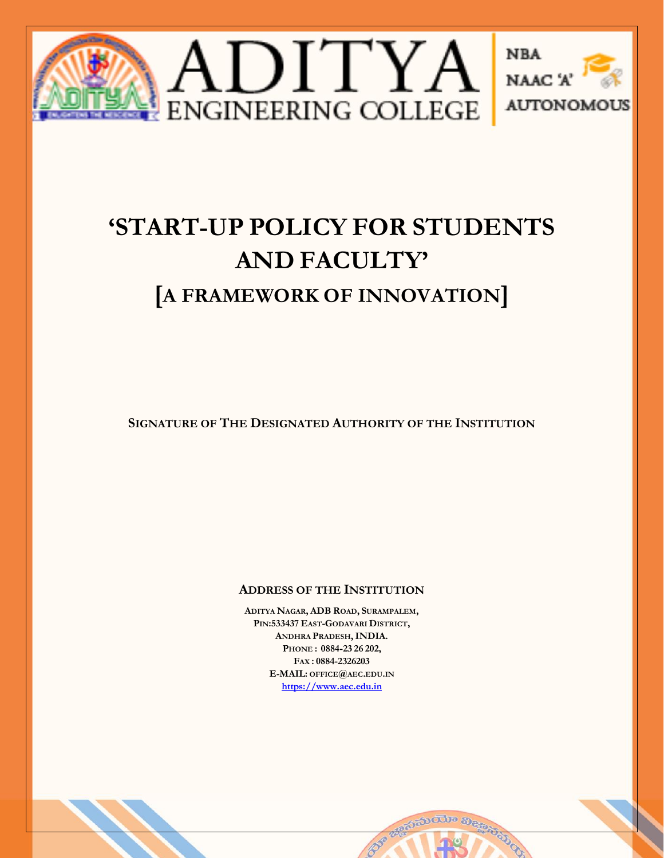

# **'START-UP POLICY FOR STUDENTS AND FACULTY' [A FRAMEWORK OF INNOVATION]**

**SIGNATURE OF THE DESIGNATED AUTHORITY OF THE INSTITUTION**

# **ADDRESS OF THE INSTITUTION**

**ADITYA NAGAR, ADB ROAD, SURAMPALEM, PIN:533437 EAST-GODAVARI DISTRICT, ANDHRA PRADESH,INDIA. PHONE : 0884-23 26 202, FAX : 0884-2326203 E-MAIL: OFFICE@AEC.EDU.IN [https://www.aec.edu.in](https://www.aec.edu.in/)**



<sub>ಕಿ</sub>ಕುಯಾ ನಿ<sub>ರೀ</sub>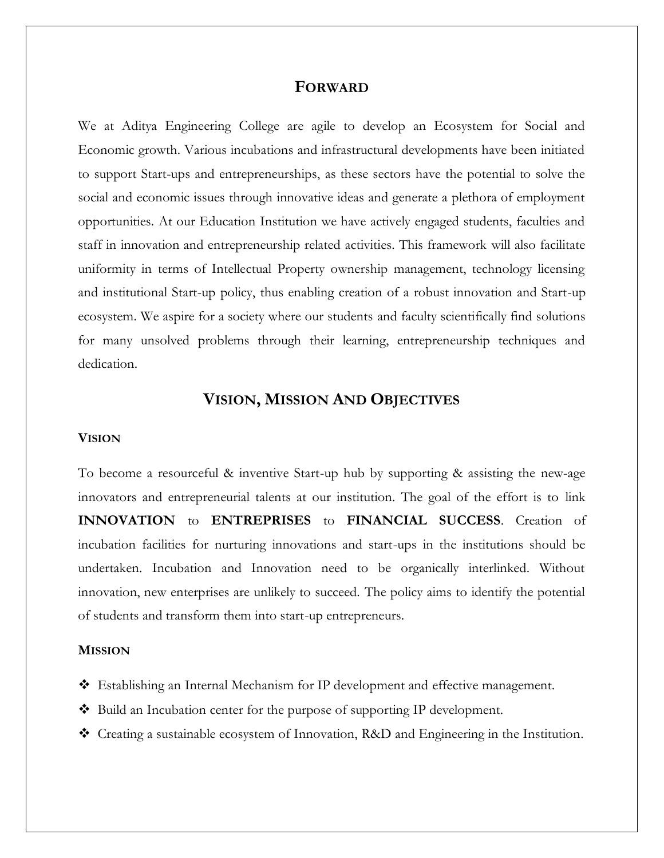# **FORWARD**

We at Aditya Engineering College are agile to develop an Ecosystem for Social and Economic growth. Various incubations and infrastructural developments have been initiated to support Start-ups and entrepreneurships, as these sectors have the potential to solve the social and economic issues through innovative ideas and generate a plethora of employment opportunities. At our Education Institution we have actively engaged students, faculties and staff in innovation and entrepreneurship related activities. This framework will also facilitate uniformity in terms of Intellectual Property ownership management, technology licensing and institutional Start-up policy, thus enabling creation of a robust innovation and Start-up ecosystem. We aspire for a society where our students and faculty scientifically find solutions for many unsolved problems through their learning, entrepreneurship techniques and dedication.

# **VISION, MISSION AND OBJECTIVES**

#### **VISION**

To become a resourceful & inventive Start-up hub by supporting & assisting the new-age innovators and entrepreneurial talents at our institution. The goal of the effort is to link **INNOVATION** to **ENTREPRISES** to **FINANCIAL SUCCESS**. Creation of incubation facilities for nurturing innovations and start-ups in the institutions should be undertaken. Incubation and Innovation need to be organically interlinked. Without innovation, new enterprises are unlikely to succeed. The policy aims to identify the potential of students and transform them into start-up entrepreneurs.

#### **MISSION**

- Establishing an Internal Mechanism for IP development and effective management.
- ◆ Build an Incubation center for the purpose of supporting IP development.
- Creating a sustainable ecosystem of Innovation, R&D and Engineering in the Institution.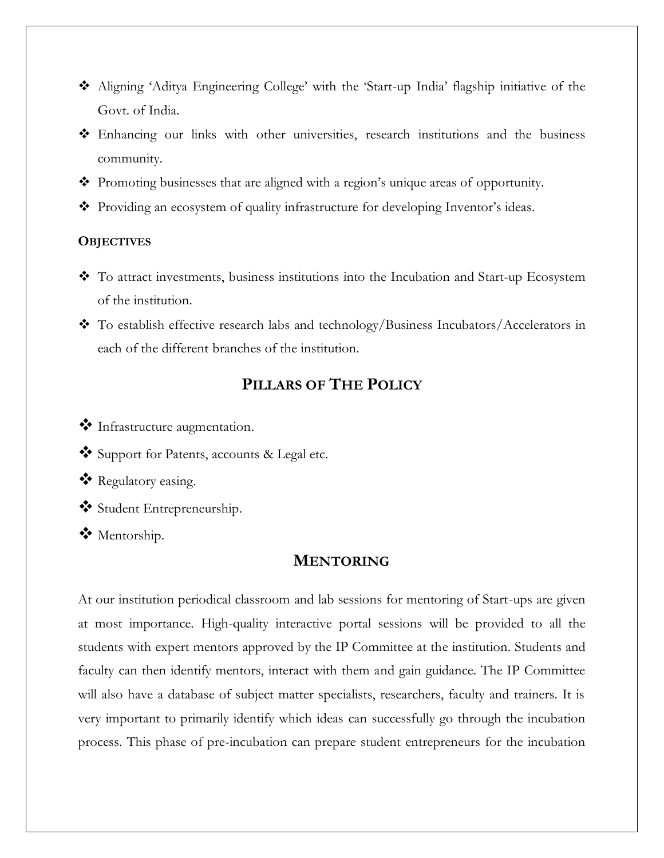- Aligning 'Aditya Engineering College' with the 'Start-up India' flagship initiative of the Govt. of India.
- Enhancing our links with other universities, research institutions and the business community.
- Promoting businesses that are aligned with a region's unique areas of opportunity.
- Providing an ecosystem of quality infrastructure for developing Inventor's ideas.

### **OBJECTIVES**

- To attract investments, business institutions into the Incubation and Start-up Ecosystem of the institution.
- \* To establish effective research labs and technology/Business Incubators/Accelerators in each of the different branches of the institution.

# **PILLARS OF THE POLICY**

- $\bullet$  Infrastructure augmentation.
- Support for Patents, accounts & Legal etc.
- \* Regulatory easing.
- Student Entrepreneurship.
- Mentorship.

# **MENTORING**

At our institution periodical classroom and lab sessions for mentoring of Start-ups are given at most importance. High-quality interactive portal sessions will be provided to all the students with expert mentors approved by the IP Committee at the institution. Students and faculty can then identify mentors, interact with them and gain guidance. The IP Committee will also have a database of subject matter specialists, researchers, faculty and trainers. It is very important to primarily identify which ideas can successfully go through the incubation process. This phase of pre-incubation can prepare student entrepreneurs for the incubation